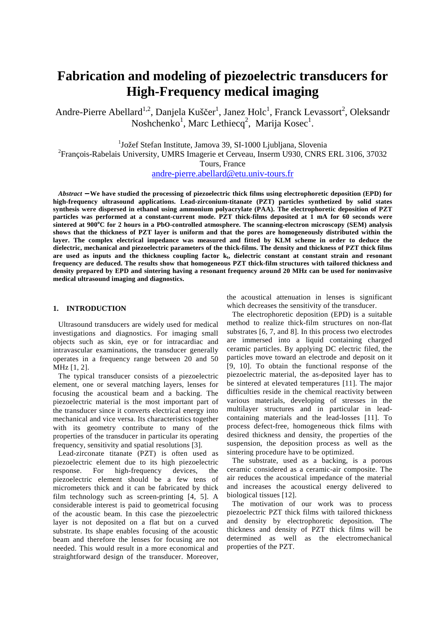# **Fabrication and modeling of piezoelectric transducers for High-Frequency medical imaging**

Andre-Pierre Abellard<sup>1,2</sup>, Danjela Kuščer<sup>1</sup>, Janez Holc<sup>1</sup>, Franck Levassort<sup>2</sup>, Oleksandr Noshchenko<sup>1</sup>, Marc Lethiecq<sup>2</sup>, Marija Kosec<sup>1</sup>.

<sup>1</sup>Jožef Stefan Institute, Jamova 39, SI-1000 Ljubljana, Slovenia

2 François-Rabelais University, UMRS Imagerie et Cerveau, Inserm U930, CNRS ERL 3106, 37032

Tours, France

andre-pierre.abellard@etu.univ-tours.fr

*Abstract* − **We have studied the processing of piezoelectric thick films using electrophoretic deposition (EPD) for high-frequency ultrasound applications. Lead-zirconium-titanate (PZT) particles synthetized by solid states synthesis were dispersed in ethanol using ammonium polyacrylate (PAA). The electrophoretic deposition of PZT particles was performed at a constant-current mode. PZT thick-films deposited at 1 mA for 60 seconds were sintered at 900<sup>o</sup>C for 2 hours in a PbO-controlled atmosphere. The scanning-electron microscopy (SEM) analysis shows that the thickness of PZT layer is uniform and that the pores are homogeneously distributed within the**  layer. The complex electrical impedance was measured and fitted by KLM scheme in order to deduce the **dielectric, mechanical and piezoelectric parameters of the thick-films. The density and thickness of PZT thick films are used as inputs and the thickness coupling factor k<sup>t</sup> , dielectric constant at constant strain and resonant frequency are deduced. The results show that homogeneous PZT thick-film structures with tailored thickness and density prepared by EPD and sintering having a resonant frequency around 20 MHz can be used for noninvasive medical ultrasound imaging and diagnostics.** 

## **1. INTRODUCTION**

Ultrasound transducers are widely used for medical investigations and diagnostics. For imaging small objects such as skin, eye or for intracardiac and intravascular examinations, the transducer generally operates in a frequency range between 20 and 50 MHz [1, 2].

The typical transducer consists of a piezoelectric element, one or several matching layers, lenses for focusing the acoustical beam and a backing. The piezoelectric material is the most important part of the transducer since it converts electrical energy into mechanical and vice versa. Its characteristics together with its geometry contribute to many of the properties of the transducer in particular its operating frequency, sensitivity and spatial resolutions [3].

Lead-zirconate titanate (PZT) is often used as piezoelectric element due to its high piezoelectric response. For high-frequency devices, the piezoelectric element should be a few tens of micrometers thick and it can be fabricated by thick film technology such as screen-printing [4, 5]. A considerable interest is paid to geometrical focusing of the acoustic beam. In this case the piezoelectric layer is not deposited on a flat but on a curved substrate. Its shape enables focusing of the acoustic beam and therefore the lenses for focusing are not needed. This would result in a more economical and straightforward design of the transducer. Moreover,

the acoustical attenuation in lenses is significant which decreases the sensitivity of the transducer.

The electrophoretic deposition (EPD) is a suitable method to realize thick-film structures on non-flat substrates [6, 7, and 8]. In this process two electrodes are immersed into a liquid containing charged ceramic particles. By applying DC electric filed, the particles move toward an electrode and deposit on it [9, 10]. To obtain the functional response of the piezoelectric material, the as-deposited layer has to be sintered at elevated temperatures [11]. The major difficulties reside in the chemical reactivity between various materials, developing of stresses in the multilayer structures and in particular in leadcontaining materials and the lead-losses [11]. To process defect-free, homogeneous thick films with desired thickness and density, the properties of the suspension, the deposition process as well as the sintering procedure have to be optimized.

The substrate, used as a backing, is a porous ceramic considered as a ceramic-air composite. The air reduces the acoustical impedance of the material and increases the acoustical energy delivered to biological tissues [12].

The motivation of our work was to process piezoelectric PZT thick films with tailored thickness and density by electrophoretic deposition. The thickness and density of PZT thick films will be determined as well as the electromechanical properties of the PZT.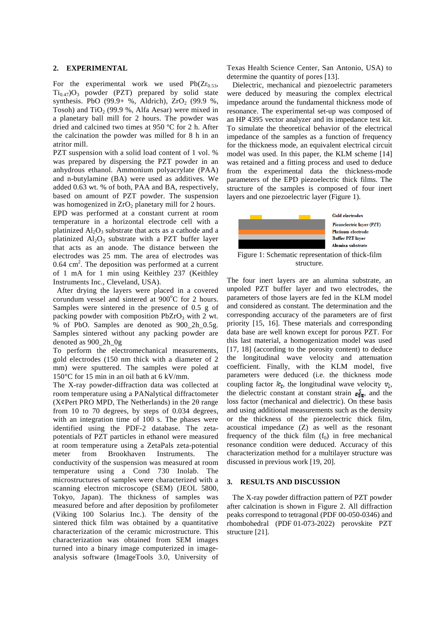#### **2. EXPERIMENTAL**

For the experimental work we used  $Pb(Zr_{0.53},$  $Ti_{0.47}$ ) $O_3$  powder (PZT) prepared by solid state synthesis. PbO (99.9+ %, Aldrich),  $ZrO<sub>2</sub>$  (99.9 %, Tosoh) and TiO<sub>2</sub> (99.9 %, Alfa Aesar) were mixed in a planetary ball mill for 2 hours. The powder was dried and calcined two times at 950 ºC for 2 h. After the calcination the powder was milled for 8 h in an atritor mill.

PZT suspension with a solid load content of 1 vol. % was prepared by dispersing the PZT powder in an anhydrous ethanol. Ammonium polyacrylate (PAA) and n-butylamine (BA) were used as additives. We added 0.63 wt. % of both, PAA and BA, respectively, based on amount of PZT powder. The suspension was homogenized in  $ZrO<sub>2</sub>$  planetary mill for 2 hours. EPD was performed at a constant current at room temperature in a horizontal electrode cell with a platinized  $\text{Al}_2\text{O}_3$  substrate that acts as a cathode and a platinized  $Al_2O_3$  substrate with a PZT buffer layer that acts as an anode. The distance between the electrodes was 25 mm. The area of electrodes was  $0.64$  cm<sup>2</sup>. The deposition was performed at a current of 1 mA for 1 min using Keithley 237 (Keithley Instruments Inc., Cleveland, USA).

 After drying the layers were placed in a covered corundum vessel and sintered at  $900^{\circ}$ C for 2 hours. Samples were sintered in the presence of 0.5 g of packing powder with composition  $PbZrO<sub>3</sub>$  with 2 wt. % of PbO. Samples are denoted as 900\_2h\_0.5g. Samples sintered without any packing powder are denoted as 900\_2h\_0g

To perform the electromechanical measurements, gold electrodes (150 nm thick with a diameter of 2 mm) were sputtered. The samples were poled at 150°C for 15 min in an oil bath at 6 kV/mm.

The X-ray powder-diffraction data was collected at room temperature using a PANalytical diffractometer ( $X\varphi$ Pert PRO MPD, The Netherlands) in the 2 $\theta$  range from 10 to 70 degrees, by steps of 0.034 degrees, with an integration time of 100 s. The phases were identified using the PDF-2 database. The zetapotentials of PZT particles in ethanol were measured at room temperature using a ZetaPals zeta-potential meter from Brookhaven Instruments. The conductivity of the suspension was measured at room temperature using a Cond 730 Inolab. The microstructures of samples were characterized with a scanning electron microscope (SEM) (JEOL 5800, Tokyo, Japan). The thickness of samples was measured before and after deposition by profilometer (Viking 100 Solarius Inc.). The density of the sintered thick film was obtained by a quantitative characterization of the ceramic microstructure. This characterization was obtained from SEM images turned into a binary image computerized in imageanalysis software (ImageTools 3.0, University of Texas Health Science Center, San Antonio, USA) to determine the quantity of pores [13].

 Dielectric, mechanical and piezoelectric parameters were deduced by measuring the complex electrical impedance around the fundamental thickness mode of resonance. The experimental set-up was composed of an HP 4395 vector analyzer and its impedance test kit. To simulate the theoretical behavior of the electrical impedance of the samples as a function of frequency for the thickness mode, an equivalent electrical circuit model was used. In this paper, the KLM scheme [14] was retained and a fitting process and used to deduce from the experimental data the thickness-mode parameters of the EPD piezoelectric thick films. The structure of the samples is composed of four inert layers and one piezoelectric layer (Figure 1).



**Gold electrodes** Piezoelectric layer (PZT) **Platinum** electrode **Buffer PZT laver** Alumina substrate

Figure 1: Schematic representation of thick-film structure.

The four inert layers are an alumina substrate, an unpoled PZT buffer layer and two electrodes, the parameters of those layers are fed in the KLM model and considered as constant. The determination and the corresponding accuracy of the parameters are of first priority [15, 16]. These materials and corresponding data base are well known except for porous PZT. For this last material, a homogenization model was used [17, 18] (according to the porosity content) to deduce the longitudinal wave velocity and attenuation coefficient. Finally, with the KLM model, five parameters were deduced (i.e. the thickness mode coupling factor  $k_t$ , the longitudinal wave velocity  $v_t$ , the dielectric constant at constant strain  $\epsilon_{\overline{2}}^5$ , and the loss factor (mechanical and dielectric). On these basis and using additional measurements such as the density or the thickness of the piezoelectric thick film, acoustical impedance (Z) as well as the resonant frequency of the thick film  $(f_0)$  in free mechanical resonance condition were deduced. Accuracy of this characterization method for a multilayer structure was discussed in previous work [19, 20].

### **3. RESULTS AND DISCUSSION**

 The X-ray powder diffraction pattern of PZT powder after calcination is shown in Figure 2. All diffraction peaks correspond to tetragonal (PDF 00-050-0346) and rhombohedral (PDF 01-073-2022) perovskite PZT structure [21].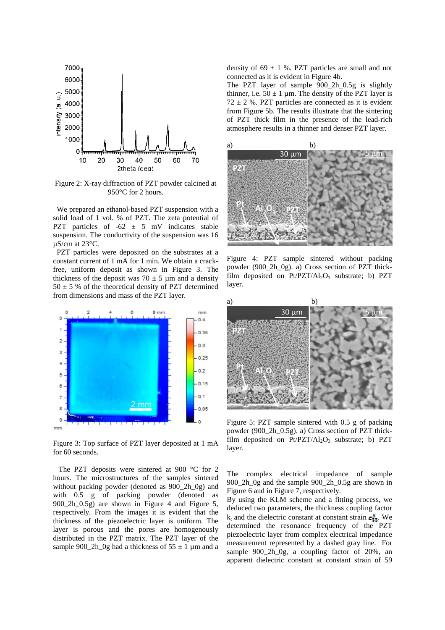

Figure 2: X-ray diffraction of PZT powder calcined at 950°C for 2 hours.

 We prepared an ethanol-based PZT suspension with a solid load of 1 vol. % of PZT. The zeta potential of PZT particles of  $-62 \pm 5$  mV indicates stable suspension. The conductivity of the suspension was 16 µS/cm at 23°C.

 PZT particles were deposited on the substrates at a constant current of 1 mA for 1 min. We obtain a crackfree, uniform deposit as shown in Figure 3. The thickness of the deposit was  $70 \pm 5$  µm and a density  $50 \pm 5$  % of the theoretical density of PZT determined from dimensions and mass of the PZT layer.



Figure 3: Top surface of PZT layer deposited at 1 mA for 60 seconds.

 The PZT deposits were sintered at 900 °C for 2 hours. The microstructures of the samples sintered without packing powder (denoted as 900\_2h\_0g) and with 0.5 g of packing powder (denoted as 900\_2h\_0.5g) are shown in Figure 4 and Figure 5, respectively. From the images it is evident that the thickness of the piezoelectric layer is uniform. The layer is porous and the pores are homogenously distributed in the PZT matrix. The PZT layer of the sample 900\_2h\_0g had a thickness of  $55 \pm 1$  µm and a density of  $69 \pm 1$  %. PZT particles are small and not connected as it is evident in Figure 4b.

The PZT layer of sample 900\_2h\_0.5g is slightly thinner, i.e.  $50 \pm 1$  µm. The density of the PZT layer is  $72 \pm 2$  %. PZT particles are connected as it is evident from Figure 5b. The results illustrate that the sintering of PZT thick film in the presence of the lead-rich atmosphere results in a thinner and denser PZT layer.



Figure 4: PZT sample sintered without packing powder (900\_2h\_0g). a) Cross section of PZT thickfilm deposited on  $Pt/PZT/Al_2O_3$  substrate; b) PZT layer.



Figure 5: PZT sample sintered with 0.5 g of packing powder (900\_2h\_0.5g). a) Cross section of PZT thickfilm deposited on  $Pt/PZT/Al_2O_3$  substrate; b) PZT layer.

The complex electrical impedance of sample 900\_2h\_0g and the sample 900\_2h\_0.5g are shown in Figure 6 and in Figure 7, respectively.

By using the KLM scheme and a fitting process, we deduced two parameters, the thickness coupling factor  $k_t$  and the dielectric constant at constant strain  $\epsilon_{33}^2$ . We determined the resonance frequency of the PZT piezoelectric layer from complex electrical impedance measurement represented by a dashed gray line. For sample 900\_2h\_0g, a coupling factor of 20%, an apparent dielectric constant at constant strain of 59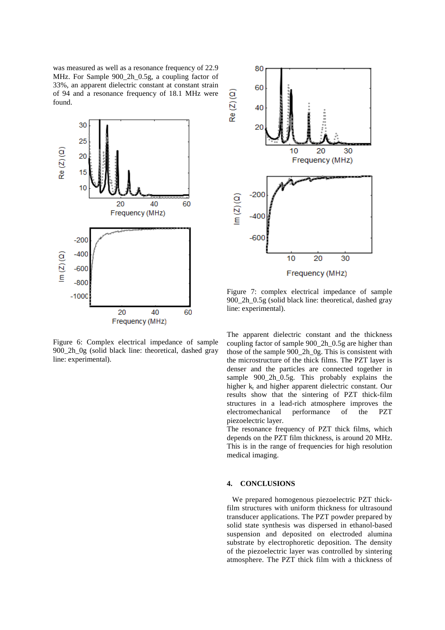was measured as well as a resonance frequency of 22.9 MHz. For Sample 900\_2h\_0.5g, a coupling factor of 33%, an apparent dielectric constant at constant strain of 94 and a resonance frequency of 18.1 MHz were found.



Figure 6: Complex electrical impedance of sample 900\_2h\_0g (solid black line: theoretical, dashed gray line: experimental).



Figure 7: complex electrical impedance of sample 900 2h 0.5g (solid black line: theoretical, dashed gray line: experimental).

The apparent dielectric constant and the thickness coupling factor of sample 900\_2h\_0.5g are higher than those of the sample 900\_2h\_0g. This is consistent with the microstructure of the thick films. The PZT layer is denser and the particles are connected together in sample 900 2h 0.5g. This probably explains the higher  $k_t$  and higher apparent dielectric constant. Our results show that the sintering of PZT thick-film structures in a lead-rich atmosphere improves the electromechanical performance of the PZT piezoelectric layer.

The resonance frequency of PZT thick films, which depends on the PZT film thickness, is around 20 MHz. This is in the range of frequencies for high resolution medical imaging.

#### **4. CONCLUSIONS**

We prepared homogenous piezoelectric PZT thickfilm structures with uniform thickness for ultrasound transducer applications. The PZT powder prepared by solid state synthesis was dispersed in ethanol-based suspension and deposited on electroded alumina substrate by electrophoretic deposition. The density of the piezoelectric layer was controlled by sintering atmosphere. The PZT thick film with a thickness of